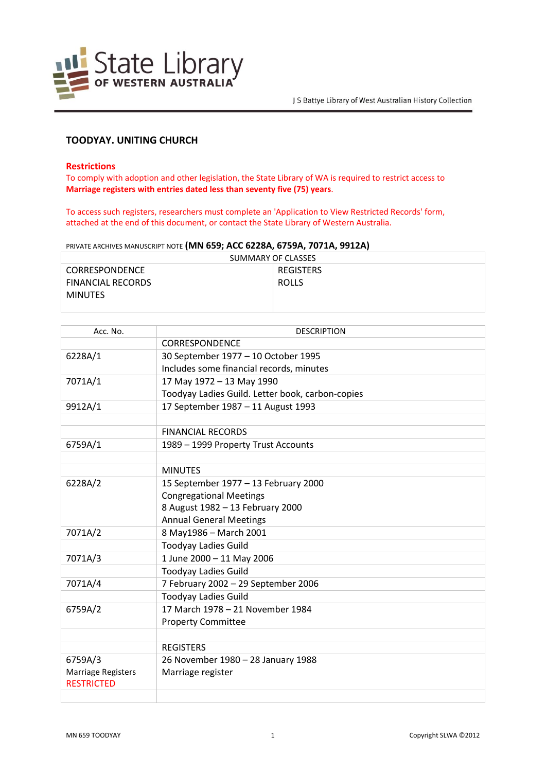

# **TOODYAY. UNITING CHURCH**

#### **Restrictions**

To comply with adoption and other legislation, the State Library of WA is required to restrict access to **Marriage registers with entries dated less than seventy five (75) years**.

To access such registers, researchers must complete an 'Application to View Restricted Records' form, attached at the end of this document, or contact the State Library of Western Australia.

PRIVATE ARCHIVES MANUSCRIPT NOTE **(MN 659; ACC 6228A, 6759A, 7071A, 9912A)**

| SUMMARY OF CLASSES       |                  |  |
|--------------------------|------------------|--|
| CORRESPONDENCE           | <b>REGISTERS</b> |  |
| <b>FINANCIAL RECORDS</b> | <b>ROLLS</b>     |  |
| <b>MINUTES</b>           |                  |  |
|                          |                  |  |

| Acc. No.                  | <b>DESCRIPTION</b>                               |
|---------------------------|--------------------------------------------------|
|                           | CORRESPONDENCE                                   |
| 6228A/1                   | 30 September 1977 - 10 October 1995              |
|                           | Includes some financial records, minutes         |
| 7071A/1                   | 17 May 1972 - 13 May 1990                        |
|                           | Toodyay Ladies Guild. Letter book, carbon-copies |
| 9912A/1                   | 17 September 1987 - 11 August 1993               |
|                           |                                                  |
|                           | <b>FINANCIAL RECORDS</b>                         |
| 6759A/1                   | 1989 - 1999 Property Trust Accounts              |
|                           |                                                  |
|                           | <b>MINUTES</b>                                   |
| 6228A/2                   | 15 September 1977 - 13 February 2000             |
|                           | <b>Congregational Meetings</b>                   |
|                           | 8 August 1982 - 13 February 2000                 |
|                           | <b>Annual General Meetings</b>                   |
| 7071A/2                   | 8 May1986 - March 2001                           |
|                           | <b>Toodyay Ladies Guild</b>                      |
| 7071A/3                   | 1 June 2000 - 11 May 2006                        |
|                           | <b>Toodyay Ladies Guild</b>                      |
| 7071A/4                   | 7 February 2002 - 29 September 2006              |
|                           | <b>Toodyay Ladies Guild</b>                      |
| 6759A/2                   | 17 March 1978 - 21 November 1984                 |
|                           | <b>Property Committee</b>                        |
|                           |                                                  |
|                           | <b>REGISTERS</b>                                 |
| 6759A/3                   | 26 November 1980 - 28 January 1988               |
| <b>Marriage Registers</b> | Marriage register                                |
| <b>RESTRICTED</b>         |                                                  |
|                           |                                                  |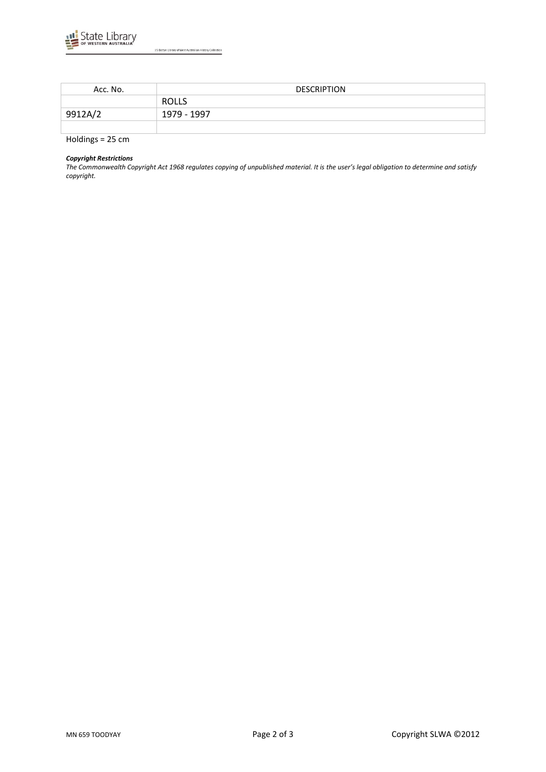

| Acc. No.  | <b>DESCRIPTION</b> |
|-----------|--------------------|
|           | <b>ROLLS</b>       |
| 9912A/2   | 1979 - 1997        |
|           |                    |
| .<br>$ -$ |                    |

Holdings = 25 cm

### *Copyright Restrictions*

*The Commonwealth Copyright Act 1968 regulates copying of unpublished material. It is the user's legal obligation to determine and satisfy copyright.*